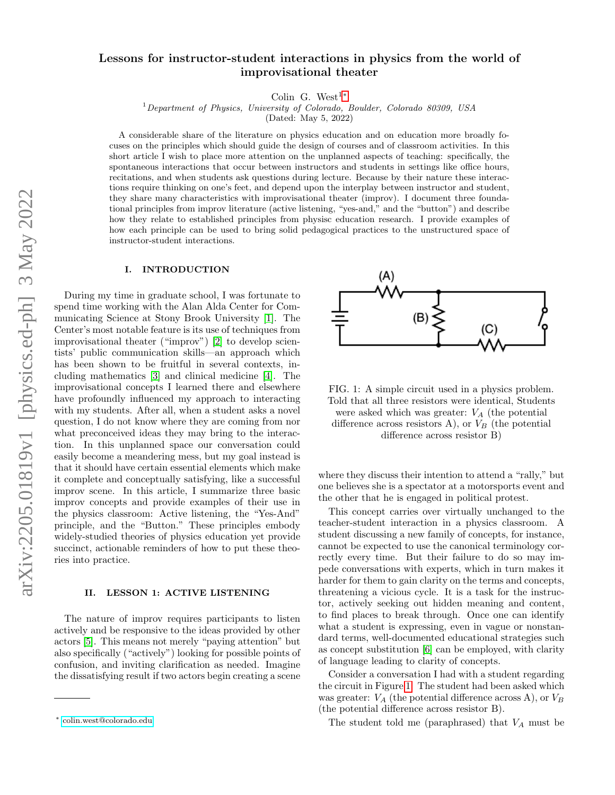# Lessons for instructor-student interactions in physics from the world of improvisational theater

Colin G. West<sup>1\*</sup>

 $1$  Department of Physics, University of Colorado, Boulder, Colorado 80309, USA

(Dated: May 5, 2022)

A considerable share of the literature on physics education and on education more broadly focuses on the principles which should guide the design of courses and of classroom activities. In this short article I wish to place more attention on the unplanned aspects of teaching: specifically, the spontaneous interactions that occur between instructors and students in settings like office hours, recitations, and when students ask questions during lecture. Because by their nature these interactions require thinking on one's feet, and depend upon the interplay between instructor and student, they share many characteristics with improvisational theater (improv). I document three foundational principles from improv literature (active listening, "yes-and," and the "button") and describe how they relate to established principles from physisc education research. I provide examples of how each principle can be used to bring solid pedagogical practices to the unstructured space of instructor-student interactions.

### I. INTRODUCTION

During my time in graduate school, I was fortunate to spend time working with the Alan Alda Center for Communicating Science at Stony Brook University [\[1\]](#page-3-0). The Center's most notable feature is its use of techniques from improvisational theater ("improv") [\[2\]](#page-3-1) to develop scientists' public communication skills—an approach which has been shown to be fruitful in several contexts, including mathematics [\[3\]](#page-3-2) and clinical medicine [\[4\]](#page-3-3). The improvisational concepts I learned there and elsewhere have profoundly influenced my approach to interacting with my students. After all, when a student asks a novel question, I do not know where they are coming from nor what preconceived ideas they may bring to the interaction. In this unplanned space our conversation could easily become a meandering mess, but my goal instead is that it should have certain essential elements which make it complete and conceptually satisfying, like a successful improv scene. In this article, I summarize three basic improv concepts and provide examples of their use in the physics classroom: Active listening, the "Yes-And" principle, and the "Button." These principles embody widely-studied theories of physics education yet provide succinct, actionable reminders of how to put these theories into practice.

# II. LESSON 1: ACTIVE LISTENING

The nature of improv requires participants to listen actively and be responsive to the ideas provided by other actors [\[5\]](#page-3-4). This means not merely "paying attention" but also specifically ("actively") looking for possible points of confusion, and inviting clarification as needed. Imagine the dissatisfying result if two actors begin creating a scene

<span id="page-0-1"></span>

FIG. 1: A simple circuit used in a physics problem. Told that all three resistors were identical, Students were asked which was greater:  $V_A$  (the potential difference across resistors A), or  $V_B$  (the potential difference across resistor B)

where they discuss their intention to attend a "rally," but one believes she is a spectator at a motorsports event and the other that he is engaged in political protest.

This concept carries over virtually unchanged to the teacher-student interaction in a physics classroom. A student discussing a new family of concepts, for instance, cannot be expected to use the canonical terminology correctly every time. But their failure to do so may impede conversations with experts, which in turn makes it harder for them to gain clarity on the terms and concepts, threatening a vicious cycle. It is a task for the instructor, actively seeking out hidden meaning and content, to find places to break through. Once one can identify what a student is expressing, even in vague or nonstandard terms, well-documented educational strategies such as concept substitution [\[6\]](#page-3-5) can be employed, with clarity of language leading to clarity of concepts.

Consider a conversation I had with a student regarding the circuit in Figure [1.](#page-0-1) The student had been asked which was greater:  $V_A$  (the potential difference across A), or  $V_B$ (the potential difference across resistor B).

The student told me (paraphrased) that  $V_A$  must be

<span id="page-0-0"></span><sup>∗</sup> [colin.west@colorado.edu](mailto:colin.west@colorado.edu)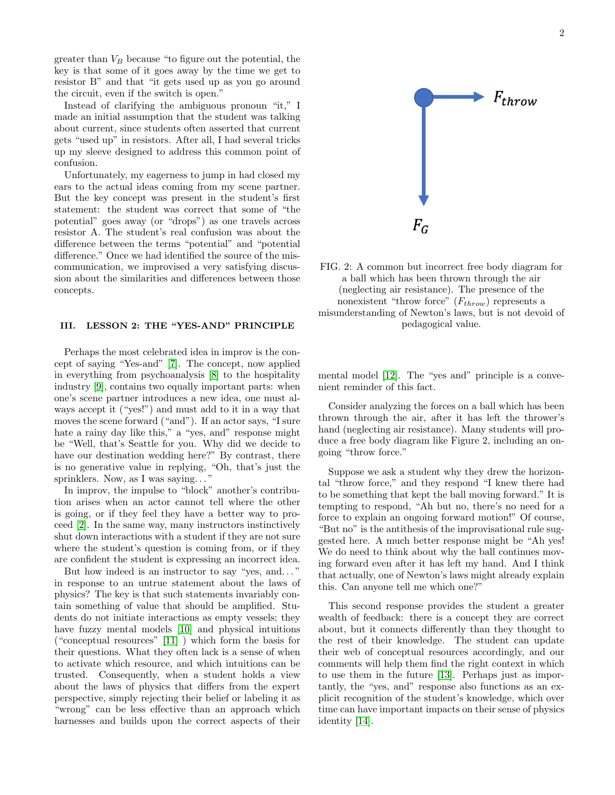greater than  $V_B$  because "to figure out the potential, the key is that some of it goes away by the time we get to resistor B" and that "it gets used up as you go around the circuit, even if the switch is open."

Instead of clarifying the ambiguous pronoun "it," I made an initial assumption that the student was talking about current, since students often asserted that current gets "used up" in resistors. After all, I had several tricks up my sleeve designed to address this common point of confusion.

Unfortunately, my eagerness to jump in had closed my ears to the actual ideas coming from my scene partner. But the key concept was present in the student's first statement: the student was correct that some of "the potential" goes away (or "drops") as one travels across resistor A. The student's real confusion was about the difference between the terms "potential" and "potential difference." Once we had identified the source of the miscommunication, we improvised a very satisfying discussion about the similarities and differences between those concepts.

# III. LESSON 2: THE "YES-AND" PRINCIPLE

Perhaps the most celebrated idea in improv is the concept of saying "Yes-and" [\[7\]](#page-3-6). The concept, now applied in everything from psychoanalysis [\[8\]](#page-3-7) to the hospitality industry [\[9\]](#page-3-8), contains two equally important parts: when one's scene partner introduces a new idea, one must always accept it ("yes!") and must add to it in a way that moves the scene forward ("and"). If an actor says, "I sure hate a rainy day like this," a "yes, and" response might be "Well, that's Seattle for you. Why did we decide to have our destination wedding here?" By contrast, there is no generative value in replying, "Oh, that's just the sprinklers. Now, as I was saying..."

In improv, the impulse to "block" another's contribution arises when an actor cannot tell where the other is going, or if they feel they have a better way to proceed [\[2\]](#page-3-1). In the same way, many instructors instinctively shut down interactions with a student if they are not sure where the student's question is coming from, or if they are confident the student is expressing an incorrect idea.

But how indeed is an instructor to say "yes, and. . . " in response to an untrue statement about the laws of physics? The key is that such statements invariably contain something of value that should be amplified. Students do not initiate interactions as empty vessels; they have fuzzy mental models [\[10\]](#page-3-9) and physical intuitions ("conceptual resources" [\[11\]](#page-3-10) ) which form the basis for their questions. What they often lack is a sense of when to activate which resource, and which intuitions can be trusted. Consequently, when a student holds a view about the laws of physics that differs from the expert perspective, simply rejecting their belief or labeling it as "wrong" can be less effective than an approach which harnesses and builds upon the correct aspects of their





mental model [\[12\]](#page-3-11). The "yes and" principle is a convenient reminder of this fact.

Consider analyzing the forces on a ball which has been thrown through the air, after it has left the thrower's hand (neglecting air resistance). Many students will produce a free body diagram like Figure 2, including an ongoing "throw force."

Suppose we ask a student why they drew the horizontal "throw force," and they respond "I knew there had to be something that kept the ball moving forward." It is tempting to respond, "Ah but no, there's no need for a force to explain an ongoing forward motion!" Of course, "But no" is the antithesis of the improvisational rule suggested here. A much better response might be "Ah yes! We do need to think about why the ball continues moving forward even after it has left my hand. And I think that actually, one of Newton's laws might already explain this. Can anyone tell me which one?"

This second response provides the student a greater wealth of feedback: there is a concept they are correct about, but it connects differently than they thought to the rest of their knowledge. The student can update their web of conceptual resources accordingly, and our comments will help them find the right context in which to use them in the future [\[13\]](#page-3-12). Perhaps just as importantly, the "yes, and" response also functions as an explicit recognition of the student's knowledge, which over time can have important impacts on their sense of physics identity [\[14\]](#page-3-13).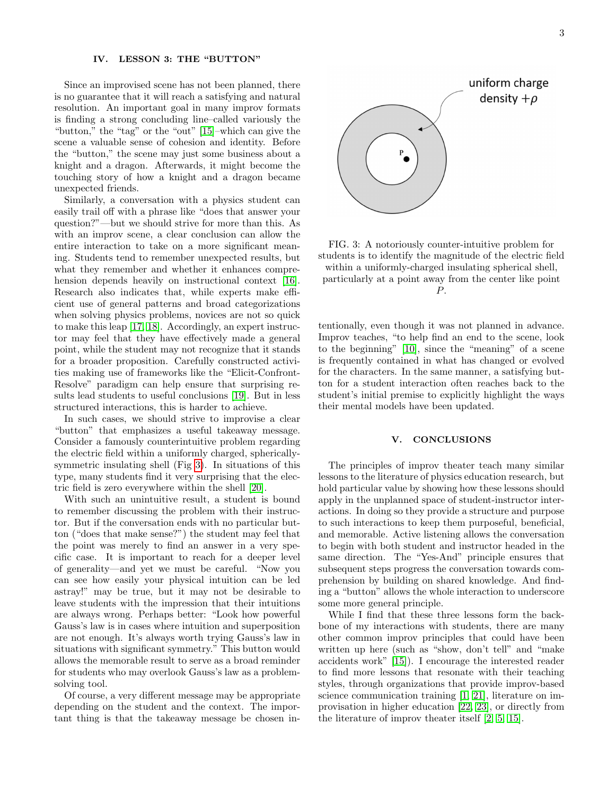## IV. LESSON 3: THE "BUTTON"

Since an improvised scene has not been planned, there is no guarantee that it will reach a satisfying and natural resolution. An important goal in many improv formats is finding a strong concluding line–called variously the "button," the "tag" or the "out" [\[15\]](#page-3-14)–which can give the scene a valuable sense of cohesion and identity. Before the "button," the scene may just some business about a knight and a dragon. Afterwards, it might become the touching story of how a knight and a dragon became unexpected friends.

Similarly, a conversation with a physics student can easily trail off with a phrase like "does that answer your question?"—but we should strive for more than this. As with an improv scene, a clear conclusion can allow the entire interaction to take on a more significant meaning. Students tend to remember unexpected results, but what they remember and whether it enhances compre-hension depends heavily on instructional context [\[16\]](#page-3-15). Research also indicates that, while experts make efficient use of general patterns and broad categorizations when solving physics problems, novices are not so quick to make this leap [\[17,](#page-3-16) [18\]](#page-3-17). Accordingly, an expert instructor may feel that they have effectively made a general point, while the student may not recognize that it stands for a broader proposition. Carefully constructed activities making use of frameworks like the "Elicit-Confront-Resolve" paradigm can help ensure that surprising results lead students to useful conclusions [\[19\]](#page-3-18). But in less structured interactions, this is harder to achieve.

In such cases, we should strive to improvise a clear "button" that emphasizes a useful takeaway message. Consider a famously counterintuitive problem regarding the electric field within a uniformly charged, sphericallysymmetric insulating shell (Fig [3\)](#page-2-0). In situations of this type, many students find it very surprising that the electric field is zero everywhere within the shell [\[20\]](#page-3-19).

With such an unintuitive result, a student is bound to remember discussing the problem with their instructor. But if the conversation ends with no particular button ("does that make sense?") the student may feel that the point was merely to find an answer in a very specific case. It is important to reach for a deeper level of generality—and yet we must be careful. "Now you can see how easily your physical intuition can be led astray!" may be true, but it may not be desirable to leave students with the impression that their intuitions are always wrong. Perhaps better: "Look how powerful Gauss's law is in cases where intuition and superposition are not enough. It's always worth trying Gauss's law in situations with significant symmetry." This button would allows the memorable result to serve as a broad reminder for students who may overlook Gauss's law as a problemsolving tool.

Of course, a very different message may be appropriate depending on the student and the context. The important thing is that the takeaway message be chosen in-

<span id="page-2-0"></span>

FIG. 3: A notoriously counter-intuitive problem for students is to identify the magnitude of the electric field within a uniformly-charged insulating spherical shell, particularly at a point away from the center like point P.

tentionally, even though it was not planned in advance. Improv teaches, "to help find an end to the scene, look to the beginning" [\[10\]](#page-3-9), since the "meaning" of a scene is frequently contained in what has changed or evolved for the characters. In the same manner, a satisfying button for a student interaction often reaches back to the student's initial premise to explicitly highlight the ways their mental models have been updated.

## V. CONCLUSIONS

The principles of improv theater teach many similar lessons to the literature of physics education research, but hold particular value by showing how these lessons should apply in the unplanned space of student-instructor interactions. In doing so they provide a structure and purpose to such interactions to keep them purposeful, beneficial, and memorable. Active listening allows the conversation to begin with both student and instructor headed in the same direction. The "Yes-And" principle ensures that subsequent steps progress the conversation towards comprehension by building on shared knowledge. And finding a "button" allows the whole interaction to underscore some more general principle.

While I find that these three lessons form the backbone of my interactions with students, there are many other common improv principles that could have been written up here (such as "show, don't tell" and "make accidents work" [\[15\]](#page-3-14)). I encourage the interested reader to find more lessons that resonate with their teaching styles, through organizations that provide improv-based science communication training [\[1,](#page-3-0) [21\]](#page-3-20), literature on improvisation in higher education [\[22,](#page-3-21) [23\]](#page-3-22), or directly from the literature of improv theater itself [\[2,](#page-3-1) [5,](#page-3-4) [15\]](#page-3-14).